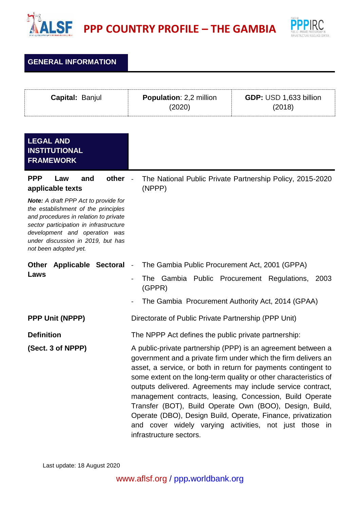



**GENERAL INFORMATION**

| Capital: Banjul                                                                                                                                                                                                                                                                                                               | <b>Population: 2,2 million</b><br>(2020)                                                                                                                                                                                                                                                                                                                                                                                                                                                                                                                                                                                                                                | GDP: USD 1,633 billion<br>(2018) |
|-------------------------------------------------------------------------------------------------------------------------------------------------------------------------------------------------------------------------------------------------------------------------------------------------------------------------------|-------------------------------------------------------------------------------------------------------------------------------------------------------------------------------------------------------------------------------------------------------------------------------------------------------------------------------------------------------------------------------------------------------------------------------------------------------------------------------------------------------------------------------------------------------------------------------------------------------------------------------------------------------------------------|----------------------------------|
| <b>LEGAL AND</b><br><b>INSTITUTIONAL</b><br><b>FRAMEWORK</b>                                                                                                                                                                                                                                                                  |                                                                                                                                                                                                                                                                                                                                                                                                                                                                                                                                                                                                                                                                         |                                  |
| <b>PPP</b><br>other<br>and<br>Law<br>applicable texts<br><b>Note:</b> A draft PPP Act to provide for<br>the establishment of the principles<br>and procedures in relation to private<br>sector participation in infrastructure<br>development and operation was<br>under discussion in 2019, but has<br>not been adopted yet. | The National Public Private Partnership Policy, 2015-2020<br>(NPPP)                                                                                                                                                                                                                                                                                                                                                                                                                                                                                                                                                                                                     |                                  |
| <b>Other</b><br><b>Applicable Sectoral</b><br>Laws                                                                                                                                                                                                                                                                            | The Gambia Public Procurement Act, 2001 (GPPA)<br>$\overline{\phantom{a}}$<br>The Gambia Public Procurement Regulations,<br>(GPPR)<br>The Gambia Procurement Authority Act, 2014 (GPAA)                                                                                                                                                                                                                                                                                                                                                                                                                                                                                 | 2003                             |
| <b>PPP Unit (NPPP)</b>                                                                                                                                                                                                                                                                                                        | Directorate of Public Private Partnership (PPP Unit)                                                                                                                                                                                                                                                                                                                                                                                                                                                                                                                                                                                                                    |                                  |
| <b>Definition</b><br>(Sect. 3 of NPPP)                                                                                                                                                                                                                                                                                        | The NPPP Act defines the public private partnership:<br>A public-private partnership (PPP) is an agreement between a<br>government and a private firm under which the firm delivers an<br>asset, a service, or both in return for payments contingent to<br>some extent on the long-term quality or other characteristics of<br>outputs delivered. Agreements may include service contract,<br>management contracts, leasing, Concession, Build Operate<br>Transfer (BOT), Build Operate Own (BOO), Design, Build,<br>Operate (DBO), Design Build, Operate, Finance, privatization<br>and cover widely varying activities, not just those in<br>infrastructure sectors. |                                  |

Last update: 18 August 2020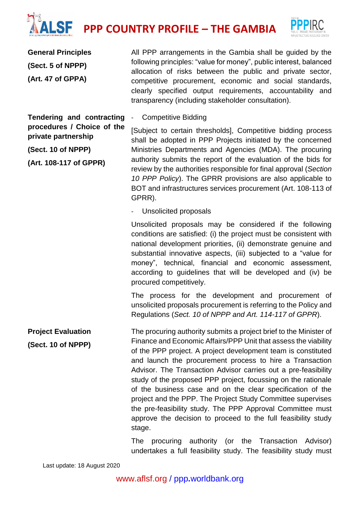## **PPP COUNTRY PROFILE – THE GAMBIA**



**General Principles (Sect. 5 of NPPP) (Art. 47 of GPPA)**

All PPP arrangements in the Gambia shall be guided by the following principles: "value for money", public interest, balanced allocation of risks between the public and private sector, competitive procurement, economic and social standards, clearly specified output requirements, accountability and transparency (including stakeholder consultation).

**Tendering and contracting procedures / Choice of the private partnership**

**(Sect. 10 of NPPP)**

**(Art. 108-117 of GPPR)**

[Subject to certain thresholds], Competitive bidding process shall be adopted in PPP Projects initiated by the concerned Ministries Departments and Agencies (MDA). The procuring authority submits the report of the evaluation of the bids for review by the authorities responsible for final approval (*Section 10 PPP Policy*). The GPRR provisions are also applicable to BOT and infrastructures services procurement (Art. 108-113 of GPRR).

- Unsolicited proposals

Competitive Bidding

Unsolicited proposals may be considered if the following conditions are satisfied: (i) the project must be consistent with national development priorities, (ii) demonstrate genuine and substantial innovative aspects, (iii) subjected to a "value for money", technical, financial and economic assessment, according to guidelines that will be developed and (iv) be procured competitively.

The process for the development and procurement of unsolicited proposals procurement is referring to the Policy and Regulations (*Sect. 10 of NPPP and Art. 114-117 of GPPR*).

**Project Evaluation (Sect. 10 of NPPP)** The procuring authority submits a project brief to the Minister of Finance and Economic Affairs/PPP Unit that assess the viability of the PPP project. A project development team is constituted and launch the procurement process to hire a Transaction Advisor. The Transaction Advisor carries out a pre‐feasibility study of the proposed PPP project, focussing on the rationale of the business case and on the clear specification of the project and the PPP. The Project Study Committee supervises the pre-feasibility study. The PPP Approval Committee must approve the decision to proceed to the full feasibility study stage.

> The procuring authority (or the Transaction Advisor) undertakes a full feasibility study. The feasibility study must

Last update: 18 August 2020